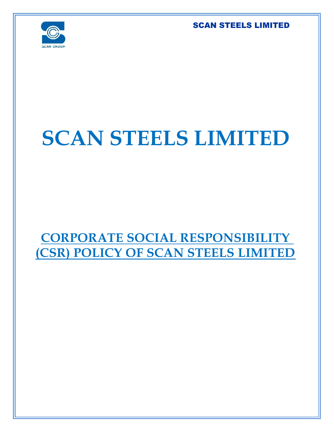

# **SCAN STEELS LIMITED**

# **CORPORATE SOCIAL RESPONSIBILITY (CSR) POLICY OF SCAN STEELS LIMITED**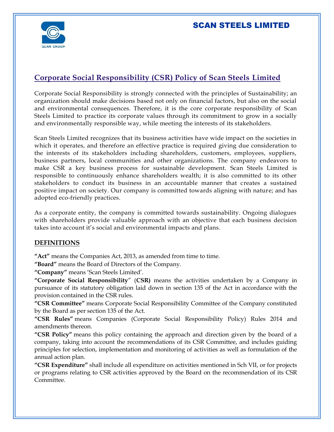

# **Corporate Social Responsibility (CSR) Policy of Scan Steels Limited**

Corporate Social Responsibility is strongly connected with the principles of Sustainability; an organization should make decisions based not only on financial factors, but also on the social and environmental consequences. Therefore, it is the core corporate responsibility of Scan Steels Limited to practice its corporate values through its commitment to grow in a socially and environmentally responsible way, while meeting the interests of its stakeholders.

Scan Steels Limited recognizes that its business activities have wide impact on the societies in which it operates, and therefore an effective practice is required giving due consideration to the interests of its stakeholders including shareholders, customers, employees, suppliers, business partners, local communities and other organizations. The company endeavors to make CSR a key business process for sustainable development. Scan Steels Limited is responsible to continuously enhance shareholders wealth; it is also committed to its other stakeholders to conduct its business in an accountable manner that creates a sustained positive impact on society. Our company is committed towards aligning with nature; and has adopted eco-friendly practices.

As a corporate entity, the company is committed towards sustainability. Ongoing dialogues with shareholders provide valuable approach with an objective that each business decision takes into account it's social and environmental impacts and plans.

#### **DEFINITIONS**

**"Act"** means the Companies Act, 2013, as amended from time to time.

**"Board"** means the Board of Directors of the Company.

**"Company"** means 'Scan Steels Limited'.

**"Corporate Social Responsibility**" (**CSR)** means the activities undertaken by a Company in pursuance of its statutory obligation laid down in section 135 of the Act in accordance with the provision contained in the CSR rules.

**"CSR Committee"** means Corporate Social Responsibility Committee of the Company constituted by the Board as per section 135 of the Act.

**"CSR Rules"** means Companies (Corporate Social Responsibility Policy) Rules 2014 and amendments thereon.

**"CSR Policy"** means this policy containing the approach and direction given by the board of a company, taking into account the recommendations of its CSR Committee, and includes guiding principles for selection, implementation and monitoring of activities as well as formulation of the annual action plan.

**"CSR Expenditure"** shall include all expenditure on activities mentioned in Sch VII, or for projects or programs relating to CSR activities approved by the Board on the recommendation of its CSR Committee.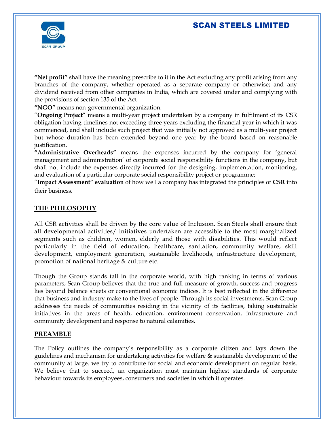

**"Net profit"** shall have the meaning prescribe to it in the Act excluding any profit arising from any branches of the company, whether operated as a separate company or otherwise; and any dividend received from other companies in India, which are covered under and complying with the provisions of section 135 of the Act

**"NGO"** means non-governmental organization.

"**Ongoing Project**" means a multi-year project undertaken by a company in fulfilment of its CSR obligation having timelines not exceeding three years excluding the financial year in which it was commenced, and shall include such project that was initially not approved as a multi-year project but whose duration has been extended beyond one year by the board based on reasonable justification.

**"Administrative Overheads"** means the expenses incurred by the company for 'general management and administration' of corporate social responsibility functions in the company, but shall not include the expenses directly incurred for the designing, implementation, monitoring, and evaluation of a particular corporate social responsibility project or programme;

"**Impact Assessment" evaluation** of how well a company has integrated the principles of **CSR** into their business.

#### **THE PHILOSOPHY**

All CSR activities shall be driven by the core value of Inclusion. Scan Steels shall ensure that all developmental activities/ initiatives undertaken are accessible to the most marginalized segments such as children, women, elderly and those with disabilities. This would reflect particularly in the field of education, healthcare, sanitation, community welfare, skill development, employment generation, sustainable livelihoods, infrastructure development, promotion of national heritage & culture etc.

Though the Group stands tall in the corporate world, with high ranking in terms of various parameters, Scan Group believes that the true and full measure of growth, success and progress lies beyond balance sheets or conventional economic indices. It is best reflected in the difference that business and industry make to the lives of people. Through its social investments, Scan Group addresses the needs of communities residing in the vicinity of its facilities, taking sustainable initiatives in the areas of health, education, environment conservation, infrastructure and community development and response to natural calamities.

#### **PREAMBLE**

The Policy outlines the company's responsibility as a corporate citizen and lays down the guidelines and mechanism for undertaking activities for welfare & sustainable development of the community at large. we try to contribute for social and economic development on regular basis. We believe that to succeed, an organization must maintain highest standards of corporate behaviour towards its employees, consumers and societies in which it operates.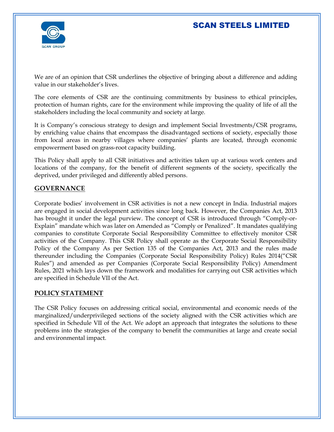

We are of an opinion that CSR underlines the objective of bringing about a difference and adding value in our stakeholder's lives.

The core elements of CSR are the continuing commitments by business to ethical principles, protection of human rights, care for the environment while improving the quality of life of all the stakeholders including the local community and society at large.

It is Company's conscious strategy to design and implement Social Investments/CSR programs, by enriching value chains that encompass the disadvantaged sections of society, especially those from local areas in nearby villages where companies' plants are located, through economic empowerment based on grass-root capacity building.

This Policy shall apply to all CSR initiatives and activities taken up at various work centers and locations of the company, for the benefit of different segments of the society, specifically the deprived, under privileged and differently abled persons.

#### **GOVERNANCE**

Corporate bodies' involvement in CSR activities is not a new concept in India. Industrial majors are engaged in social development activities since long back. However, the Companies Act, 2013 has brought it under the legal purview. The concept of CSR is introduced through "Comply-or-Explain" mandate which was later on Amended as "Comply or Penalized". It mandates qualifying companies to constitute Corporate Social Responsibility Committee to effectively monitor CSR activities of the Company. This CSR Policy shall operate as the Corporate Social Responsibility Policy of the Company As per Section 135 of the Companies Act, 2013 and the rules made thereunder including the Companies (Corporate Social Responsibility Policy) Rules 2014("CSR Rules") and amended as per Companies (Corporate Social Responsibility Policy) Amendment Rules, 2021 which lays down the framework and modalities for carrying out CSR activities which are specified in Schedule VII of the Act.

#### **POLICY STATEMENT**

The CSR Policy focuses on addressing critical social, environmental and economic needs of the marginalized/underprivileged sections of the society aligned with the CSR activities which are specified in Schedule VII of the Act. We adopt an approach that integrates the solutions to these problems into the strategies of the company to benefit the communities at large and create social and environmental impact.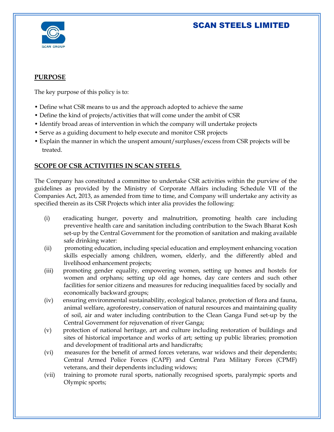

#### **PURPOSE**

The key purpose of this policy is to:

- Define what CSR means to us and the approach adopted to achieve the same
- Define the kind of projects/activities that will come under the ambit of CSR
- Identify broad areas of intervention in which the company will undertake projects
- Serve as a guiding document to help execute and monitor CSR projects
- Explain the manner in which the unspent amount/surpluses/excess from CSR projects will be treated.

#### **SCOPE OF CSR ACTIVITIES IN SCAN STEELS**

The Company has constituted a committee to undertake CSR activities within the purview of the guidelines as provided by the Ministry of Corporate Affairs including Schedule VII of the Companies Act, 2013, as amended from time to time, and Company will undertake any activity as specified therein as its CSR Projects which inter alia provides the following:

- (i) eradicating hunger, poverty and malnutrition, promoting health care including preventive health care and sanitation including contribution to the Swach Bharat Kosh set-up by the Central Government for the promotion of sanitation and making available safe drinking water:
- (ii) promoting education, including special education and employment enhancing vocation skills especially among children, women, elderly, and the differently abled and livelihood enhancement projects;
- (iii) promoting gender equality, empowering women, setting up homes and hostels for women and orphans; setting up old age homes, day care centers and such other facilities for senior citizens and measures for reducing inequalities faced by socially and economically backward groups;
- (iv) ensuring environmental sustainability, ecological balance, protection of flora and fauna, animal welfare, agroforestry, conservation of natural resources and maintaining quality of soil, air and water including contribution to the Clean Ganga Fund set-up by the Central Government for rejuvenation of river Ganga;
- (v) protection of national heritage, art and culture including restoration of buildings and sites of historical importance and works of art; setting up public libraries; promotion and development of traditional arts and handicrafts;
- (vi) measures for the benefit of armed forces veterans, war widows and their dependents; Central Armed Police Forces (CAPF) and Central Para Military Forces (CPMF) veterans, and their dependents including widows;
- (vii) training to promote rural sports, nationally recognised sports, paralympic sports and Olympic sports;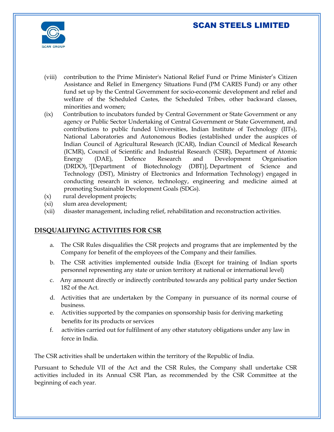

- (viii) contribution to the Prime Minister's National Relief Fund or Prime Minister's Citizen Assistance and Relief in Emergency Situations Fund (PM CARES Fund) or any other fund set up by the Central Government for socio-economic development and relief and welfare of the Scheduled Castes, the Scheduled Tribes, other backward classes, minorities and women;
- (ix) Contribution to incubators funded by Central Government or State Government or any agency or Public Sector Undertaking of Central Government or State Government, and contributions to public funded Universities, Indian Institute of Technology (IITs), National Laboratories and Autonomous Bodies (established under the auspices of Indian Council of Agricultural Research (ICAR), Indian Council of Medical Research (ICMR), Council of Scientific and Industrial Research (CSIR), Department of Atomic Energy (DAE), Defence Research and Development Organisation (DRDO), <sup>7</sup>[Department of Biotechnology (DBT)], Department of Science and Technology (DST), Ministry of Electronics and Information Technology) engaged in conducting research in science, technology, engineering and medicine aimed at promoting Sustainable Development Goals (SDGs).
- (x) rural development projects;
- (xi) slum area development;
- (xii) disaster management, including relief, rehabilitation and reconstruction activities.

#### **DISQUALIFYING ACTIVITIES FOR CSR**

- a. The CSR Rules disqualifies the CSR projects and programs that are implemented by the Company for benefit of the employees of the Company and their families.
- b. The CSR activities implemented outside India (Except for training of Indian sports personnel representing any state or union territory at national or international level)
- c. Any amount directly or indirectly contributed towards any political party under Section 182 of the Act.
- d. Activities that are undertaken by the Company in pursuance of its normal course of business.
- e. Activities supported by the companies on sponsorship basis for deriving marketing benefits for its products or services
- f. activities carried out for fulfilment of any other statutory obligations under any law in force in India.

The CSR activities shall be undertaken within the territory of the Republic of India.

Pursuant to Schedule VII of the Act and the CSR Rules, the Company shall undertake CSR activities included in its Annual CSR Plan, as recommended by the CSR Committee at the beginning of each year.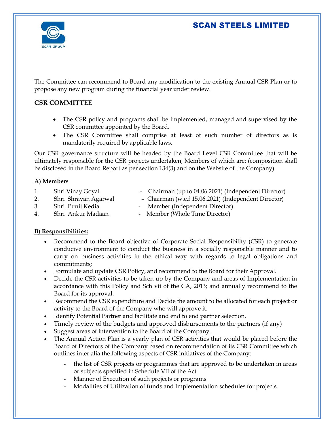

The Committee can recommend to Board any modification to the existing Annual CSR Plan or to propose any new program during the financial year under review.

#### **CSR COMMITTEE**

- The CSR policy and programs shall be implemented, managed and supervised by the CSR committee appointed by the Board.
- The CSR Committee shall comprise at least of such number of directors as is mandatorily required by applicable laws.

Our CSR governance structure will be headed by the Board Level CSR Committee that will be ultimately responsible for the CSR projects undertaken, Members of which are: (composition shall be disclosed in the Board Report as per section 134(3) and on the Website of the Company)

#### **A) Members**

- 
- 
- 
- 1. Shri Vinay Goyal Chairman (up to 04.06.2021) (Independent Director)
- 2. Shri Shravan Agarwal Chairman (w.e.f 15.06.2021) (Independent Director)
- 
- 3. Shri Punit Kedia Member (Independent Director)
- 4. Shri Ankur Madaan Member (Whole Time Director)

#### **B) Responsibilities:**

- Recommend to the Board objective of Corporate Social Responsibility (CSR) to generate conducive environment to conduct the business in a socially responsible manner and to carry on business activities in the ethical way with regards to legal obligations and commitments;
- Formulate and update CSR Policy, and recommend to the Board for their Approval.
- Decide the CSR activities to be taken up by the Company and areas of Implementation in accordance with this Policy and Sch vii of the CA, 2013; and annually recommend to the Board for its approval.
- Recommend the CSR expenditure and Decide the amount to be allocated for each project or activity to the Board of the Company who will approve it.
- Identify Potential Partner and facilitate and end to end partner selection.
- Timely review of the budgets and approved disbursements to the partners (if any)
- Suggest areas of intervention to the Board of the Company.
- The Annual Action Plan is a yearly plan of CSR activities that would be placed before the Board of Directors of the Company based on recommendation of its CSR Committee which outlines inter alia the following aspects of CSR initiatives of the Company:
	- the list of CSR projects or programmes that are approved to be undertaken in areas or subjects specified in Schedule VII of the Act
	- Manner of Execution of such projects or programs
	- Modalities of Utilization of funds and Implementation schedules for projects.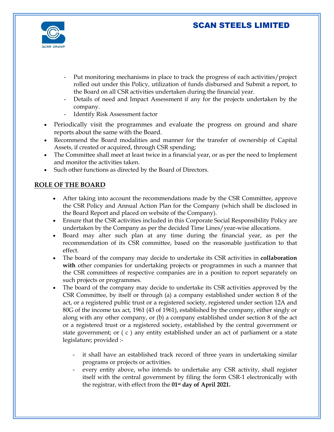

- Put monitoring mechanisms in place to track the progress of each activities/project rolled out under this Policy, utilization of funds disbursed and Submit a report, to the Board on all CSR activities undertaken during the financial year.
- Details of need and Impact Assessment if any for the projects undertaken by the company.
- Identify Risk Assessment factor
- Periodically visit the programmes and evaluate the progress on ground and share reports about the same with the Board.
- Recommend the Board modalities and manner for the transfer of ownership of Capital Assets, if created or acquired, through CSR spending;
- The Committee shall meet at least twice in a financial year, or as per the need to Implement and monitor the activities taken.
- Such other functions as directed by the Board of Directors.

#### **ROLE OF THE BOARD**

- After taking into account the recommendations made by the CSR Committee, approve the CSR Policy and Annual Action Plan for the Company (which shall be disclosed in the Board Report and placed on website of the Company).
- Ensure that the CSR activities included in this Corporate Social Responsibility Policy are undertaken by the Company as per the decided Time Lines/year-wise allocations.
- Board may alter such plan at any time during the financial year, as per the recommendation of its CSR committee, based on the reasonable justification to that effect.
- The board of the company may decide to undertake its CSR activities in **collaboration with** other companies for undertaking projects or programmes in such a manner that the CSR committees of respective companies are in a position to report separately on such projects or programmes.
- The board of the company may decide to undertake its CSR activities approved by the CSR Committee, by itself or through (a) a company established under section 8 of the act, or a registered public trust or a registered society, registered under section 12A and 80G of the income tax act, 1961 (43 of 1961), established by the company, either singly or along with any other company, or (b) a company established under section 8 of the act or a registered trust or a registered society, established by the central government or state government; or ( c ) any entity established under an act of parliament or a state legislature; provided :
	- it shall have an established track record of three years in undertaking similar programs or projects or activities.
	- every entity above, who intends to undertake any CSR activity, shall register itself with the central government by filing the form CSR-1 electronically with the registrar, with effect from the **01st day of April 2021.**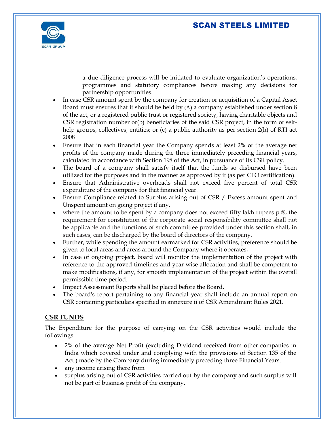

- a due diligence process will be initiated to evaluate organization's operations, programmes and statutory compliances before making any decisions for partnership opportunities.
- In case CSR amount spent by the company for creation or acquisition of a Capital Asset Board must ensures that it should be held by (A) a company established under section 8 of the act, or a registered public trust or registered society, having charitable objects and CSR registration number or(b) beneficiaries of the said CSR project, in the form of selfhelp groups, collectives, entities; or (c) a public authority as per section 2(h) of RTI act 2008
- Ensure that in each financial year the Company spends at least 2% of the average net profits of the company made during the three immediately preceding financial years, calculated in accordance with Section 198 of the Act, in pursuance of its CSR policy.
- The board of a company shall satisfy itself that the funds so disbursed have been utilized for the purposes and in the manner as approved by it (as per CFO certification).
- Ensure that Administrative overheads shall not exceed five percent of total CSR expenditure of the company for that financial year.
- Ensure Compliance related to Surplus arising out of CSR / Excess amount spent and Unspent amount on going project if any.
- where the amount to be spent by a company does not exceed fifty lakh rupees p.@, the requirement for constitution of the corporate social responsibility committee shall not be applicable and the functions of such committee provided under this section shall, in such cases, can be discharged by the board of directors of the company.
- Further, while spending the amount earmarked for CSR activities, preference should be given to local areas and areas around the Company where it operates,
- In case of ongoing project, board will monitor the implementation of the project with reference to the approved timelines and year-wise allocation and shall be competent to make modifications, if any, for smooth implementation of the project within the overall permissible time period.
- Impact Assessment Reports shall be placed before the Board.
- The board's report pertaining to any financial year shall include an annual report on CSR containing particulars specified in annexure ii of CSR Amendment Rules 2021.

#### **CSR FUNDS**

The Expenditure for the purpose of carrying on the CSR activities would include the followings:

- 2% of the average Net Profit (excluding Dividend received from other companies in India which covered under and complying with the provisions of Section 135 of the Act.) made by the Company during immediately preceding three Financial Years.
- any income arising there from
- surplus arising out of CSR activities carried out by the company and such surplus will not be part of business profit of the company.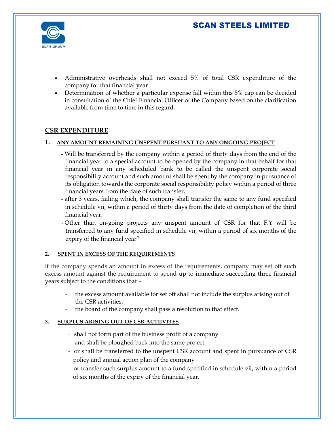

- Administrative overheads shall not exceed 5% of total CSR expenditure of the company for that financial year
- Determination of whether a particular expense fall within this 5% cap can be decided in consultation of the Chief Financial Officer of the Company based on the clarification available from time to time in this regard.

#### **CSR EXPENDITURE**

#### **1. ANY AMOUNT REMAINING UNSPENT PURSUANT TO ANY ONGOING PROJECT**

- Will be transferred by the company within a period of thirty days from the end of the financial year to a special account to be opened by the company in that behalf for that financial year in any scheduled bank to be called the unspent corporate social responsibility account and such amount shall be spent by the company in pursuance of its obligation towards the corporate social responsibility policy within a period of three financial years from the date of such transfer,
- after 3 years, failing which, the company shall transfer the same to any fund specified in schedule vii, within a period of thirty days from the date of completion of the third financial year.
- Other than on-going projects any unspent amount of CSR for that F.Y will be transferred to any fund specified in schedule vii, within a period of six months of the expiry of the financial year"

#### **2. SPENT IN EXCESS OF THE REQUIREMENTS**

if the company spends an amount in excess of the requirements, company may set off such excess amount against the requirement to spend up to immediate succeeding three financial years subject to the conditions that –

- the excess amount available for set off shall not include the surplus arising out of the CSR activities.
- the board of the company shall pass a resolution to that effect.

#### **3. SURPLUS ARISING OUT OF CSR ACTIIVITES**

- shall not form part of the business profit of a company
- and shall be ploughed back into the same project
- or shall be transferred to the unspent CSR account and spent in pursuance of CSR policy and annual action plan of the company
- or transfer such surplus amount to a fund specified in schedule vii, within a period of six months of the expiry of the financial year.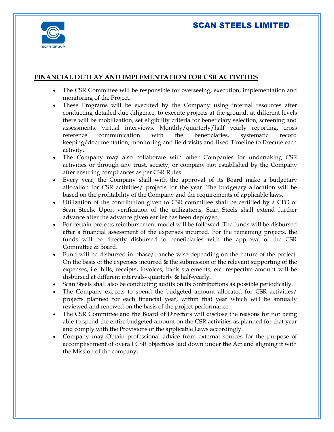

#### **FINANCIAL OUTLAY AND IMPLEMENTATION FOR CSR ACTIVITIES**

- The CSR Committee will be responsible for overseeing, execution, implementation and monitoring of the Project.
- These Programs will be executed by the Company using internal resources after conducting detailed due diligence, to execute projects at the ground, at different levels there will be mobilization, set eligibility criteria for beneficiary selection, screening and assessments, virtual interviews, Monthly/quarterly/half yearly reporting, cross reference communication with the beneficiaries, systematic record keeping/documentation, monitoring and field visits and fixed Timeline to Execute each activity.
- The Company may also collaborate with other Companies for undertaking CSR activities or through any trust, society, or company not established by the Company after ensuring compliances as per CSR Rules.
- Every year, the Company shall with the approval of its Board make a budgetary allocation for CSR activities/ projects for the year. The budgetary allocation will be based on the profitability of the Company and the requirements of applicable laws.
- Utilization of the contribution given to CSR committee shall be certified by a CFO of Scan Steels. Upon verification of the utilizations, Scan Steels shall extend further advance after the advance given earlier has been deployed.
- For certain projects reimbursement model will be followed. The funds will be disbursed after a financial assessment of the expenses incurred. For the remaining projects, the funds will be directly disbursed to beneficiaries with the approval of the CSR Committee & Board.
- Fund will be disbursed in phase/tranche wise depending on the nature of the project. On the basis of the expenses incurred  $&$  the submission of the relevant supporting of the expenses, i.e. bills, receipts, invoices, bank statements, etc. respective amount will be disbursed at different intervals- quarterly & half-yearly.
- Scan Steels shall also be conducting audits on its contributions as possible periodically.
- The Company expects to spend the budgeted amount allocated for CSR activities/ projects planned for each financial year, within that year which will be annually reviewed and renewed on the basis of the project performance.
- The CSR Committee and the Board of Directors will disclose the reasons for not being able to spend the entire budgeted amount on the CSR activities as planned for that year and comply with the Provisions of the applicable Laws accordingly.
- Company may Obtain professional advice from external sources for the purpose of accomplishment of overall CSR objectives laid down under the Act and aligning it with the Mission of the company;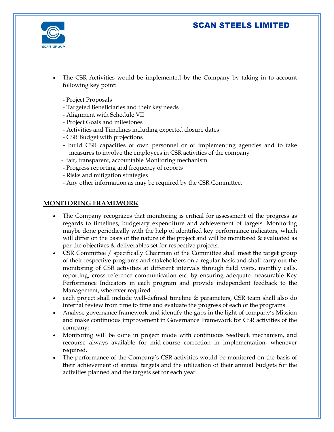

- The CSR Activities would be implemented by the Company by taking in to account following key point:
	- Project Proposals
	- Targeted Beneficiaries and their key needs
	- Alignment with Schedule VII
	- Project Goals and milestones
	- Activities and Timelines including expected closure dates
	- CSR Budget with projections
	- build CSR capacities of own personnel or of implementing agencies and to take measures to involve the employees in CSR activities of the company
	- fair, transparent, accountable Monitoring mechanism
	- Progress reporting and frequency of reports
	- Risks and mitigation strategies
	- Any other information as may be required by the CSR Committee.

#### **MONITORING FRAMEWORK**

- The Company recognizes that monitoring is critical for assessment of the progress as regards to timelines, budgetary expenditure and achievement of targets. Monitoring maybe done periodically with the help of identified key performance indicators, which will differ on the basis of the nature of the project and will be monitored & evaluated as per the objectives & deliverables set for respective projects.
- CSR Committee / specifically Chairman of the Committee shall meet the target group of their respective programs and stakeholders on a regular basis and shall carry out the monitoring of CSR activities at different intervals through field visits, monthly calls, reporting, cross reference communication etc. by ensuring adequate measurable Key Performance Indicators in each program and provide independent feedback to the Management, wherever required.
- each project shall include well-defined timeline & parameters, CSR team shall also do internal review from time to time and evaluate the progress of each of the programs.
- Analyse governance framework and identify the gaps in the light of company's Mission and make continuous improvement in Governance Framework for CSR activities of the company;
- Monitoring will be done in project mode with continuous feedback mechanism, and recourse always available for mid-course correction in implementation, whenever required.
- The performance of the Company's CSR activities would be monitored on the basis of their achievement of annual targets and the utilization of their annual budgets for the activities planned and the targets set for each year.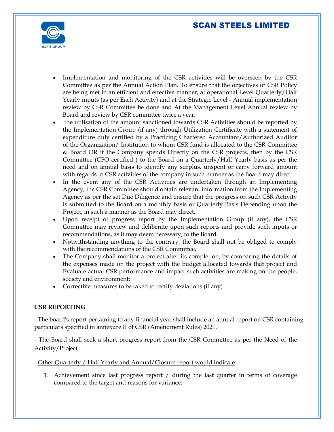

- Implementation and monitoring of the CSR activities will be overseen by the CSR Committee as per the Annual Action Plan. To ensure that the objectives of CSR Policy are being met in an efficient and effective manner, at operational Level Quarterly/Half Yearly inputs (as per Each Activity) and at the Strategic Level - Annual implementation review by CSR Committee be done and At the Management Level Annual review by Board and review by CSR committee twice a year.
- the utilisation of the amount sanctioned towards CSR Activities should be reported by the Implementation Group (if any) through Utilization Certificate with a statement of expenditure duly certified by a Practicing Chartered Accountant/Authorized Auditor of the Organization/ Institution to whom CSR fund is allocated to the CSR Committee & Board OR if the Company spends Directly on the CSR projects, then by the CSR Committee (CFO certified ) to the Board on a Quarterly/Half Yearly basis as per the need and on annual basis to identify any surplus, unspent or carry forward amount with regards to CSR activities of the company in such manner as the Board may direct.
- In the event any of the CSR Activities are undertaken through an Implementing Agency, the CSR Committee should obtain relevant information from the Implementing Agency as per the set Due Diligence and ensure that the progress on such CSR Activity is submitted to the Board on a monthly basis or Quarterly Basis Depending upon the Project, in such a manner as the Board may direct.
- Upon receipt of progress report by the Implementation Group (if any), the CSR Committee may review and deliberate upon such reports and provide such inputs or recommendations, as it may deem necessary, to the Board.
- Notwithstanding anything to the contrary, the Board shall not be obliged to comply with the recommendations of the CSR Committee.
- The Company shall monitor a project after its completion, by comparing the details of the expenses made on the project with the budget allocated towards that project and Evaluate actual CSR performance and impact such activities are making on the people, society and environment;
- Corrective measures to be taken to rectify deviations (if any)

#### **CSR REPORTING**

- The board's report pertaining to any financial year shall include an annual report on CSR containing particulars specified in annexure II of CSR (Amendment Rules) 2021.

- The Board shall seek a short progress report from the CSR Committee as per the Need of the Activity/Project.

- Other Quarterly / Half Yearly and Annual/Closure report would indicate:

1. Achievement since last progress report / during the last quarter in terms of coverage compared to the target and reasons for variance.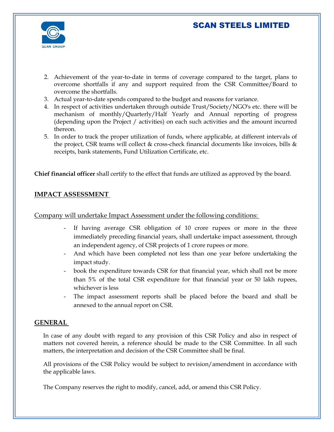

- 2. Achievement of the year-to-date in terms of coverage compared to the target, plans to overcome shortfalls if any and support required from the CSR Committee/Board to overcome the shortfalls.
- 3. Actual year-to-date spends compared to the budget and reasons for variance.
- 4. In respect of activities undertaken through outside Trust/Society/NGO's etc. there will be mechanism of monthly/Quarterly/Half Yearly and Annual reporting of progress (depending upon the Project / activities) on each such activities and the amount incurred thereon.
- 5. In order to track the proper utilization of funds, where applicable, at different intervals of the project, CSR teams will collect & cross-check financial documents like invoices, bills & receipts, bank statements, Fund Utilization Certificate, etc.

**Chief financial officer** shall certify to the effect that funds are utilized as approved by the board.

#### **IMPACT ASSESSMENT**

#### Company will undertake Impact Assessment under the following conditions:

- If having average CSR obligation of 10 crore rupees or more in the three immediately preceding financial years, shall undertake impact assessment, through an independent agency, of CSR projects of 1 crore rupees or more.
- And which have been completed not less than one year before undertaking the impact study.
- book the expenditure towards CSR for that financial year, which shall not be more than 5% of the total CSR expenditure for that financial year or 50 lakh rupees, whichever is less
- The impact assessment reports shall be placed before the board and shall be annexed to the annual report on CSR.

#### **GENERAL**

In case of any doubt with regard to any provision of this CSR Policy and also in respect of matters not covered herein, a reference should be made to the CSR Committee. In all such matters, the interpretation and decision of the CSR Committee shall be final.

All provisions of the CSR Policy would be subject to revision/amendment in accordance with the applicable laws.

The Company reserves the right to modify, cancel, add, or amend this CSR Policy.